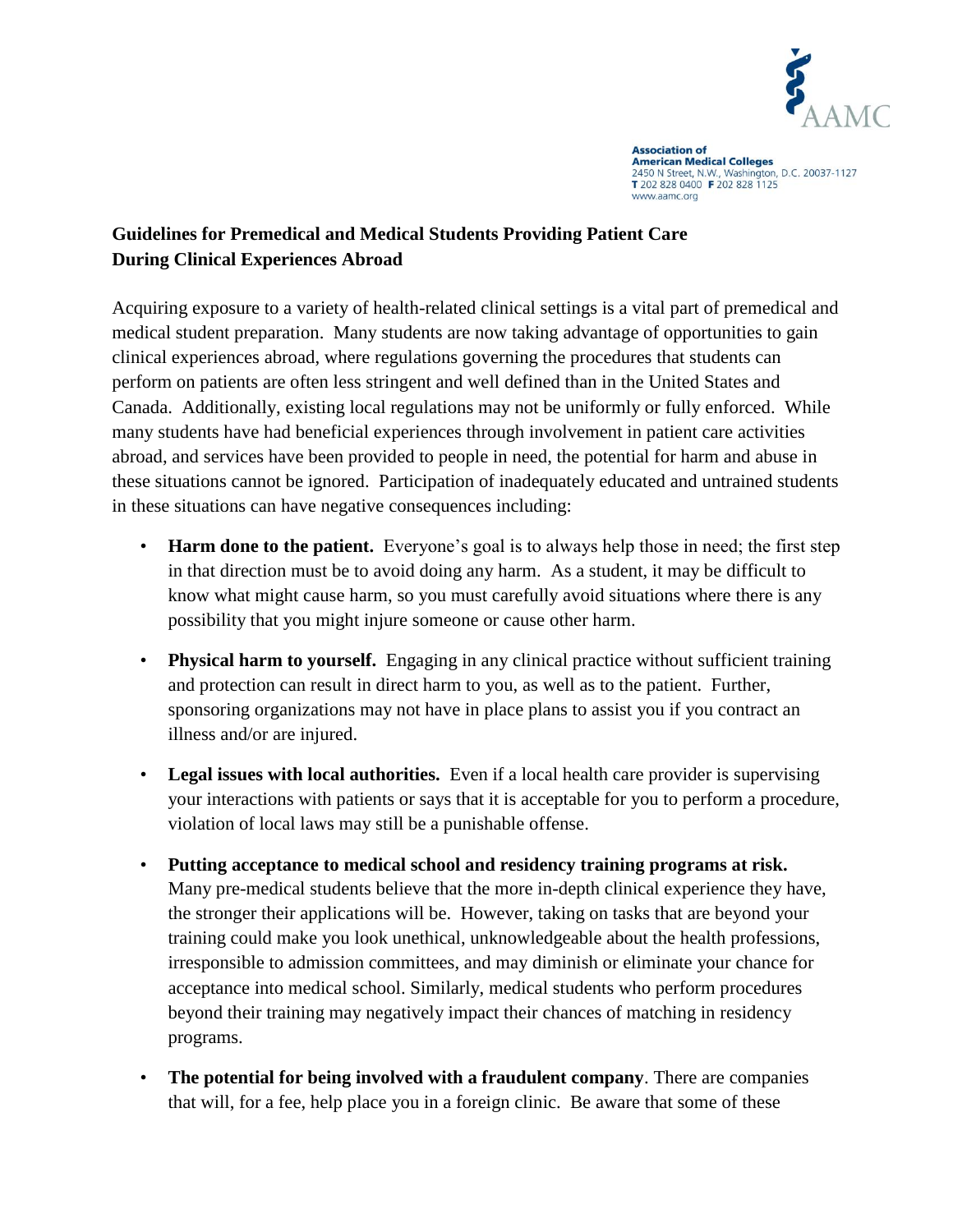

**Association of American Medical Colleges** 2450 N Street, N.W., Washington, D.C. 20037-1127<br>T 202 828 0400 F 202 828 1125 www.aamc.org

## **Guidelines for Premedical and Medical Students Providing Patient Care During Clinical Experiences Abroad**

Acquiring exposure to a variety of health-related clinical settings is a vital part of premedical and medical student preparation. Many students are now taking advantage of opportunities to gain clinical experiences abroad, where regulations governing the procedures that students can perform on patients are often less stringent and well defined than in the United States and Canada. Additionally, existing local regulations may not be uniformly or fully enforced. While many students have had beneficial experiences through involvement in patient care activities abroad, and services have been provided to people in need, the potential for harm and abuse in these situations cannot be ignored. Participation of inadequately educated and untrained students in these situations can have negative consequences including:

- **Harm done to the patient.** Everyone's goal is to always help those in need; the first step in that direction must be to avoid doing any harm. As a student, it may be difficult to know what might cause harm, so you must carefully avoid situations where there is any possibility that you might injure someone or cause other harm.
- **Physical harm to yourself.** Engaging in any clinical practice without sufficient training and protection can result in direct harm to you, as well as to the patient. Further, sponsoring organizations may not have in place plans to assist you if you contract an illness and/or are injured.
- **Legal issues with local authorities.** Even if a local health care provider is supervising your interactions with patients or says that it is acceptable for you to perform a procedure, violation of local laws may still be a punishable offense.
- **Putting acceptance to medical school and residency training programs at risk.**  Many pre-medical students believe that the more in-depth clinical experience they have, the stronger their applications will be. However, taking on tasks that are beyond your training could make you look unethical, unknowledgeable about the health professions, irresponsible to admission committees, and may diminish or eliminate your chance for acceptance into medical school. Similarly, medical students who perform procedures beyond their training may negatively impact their chances of matching in residency programs.
- **The potential for being involved with a fraudulent company**. There are companies that will, for a fee, help place you in a foreign clinic. Be aware that some of these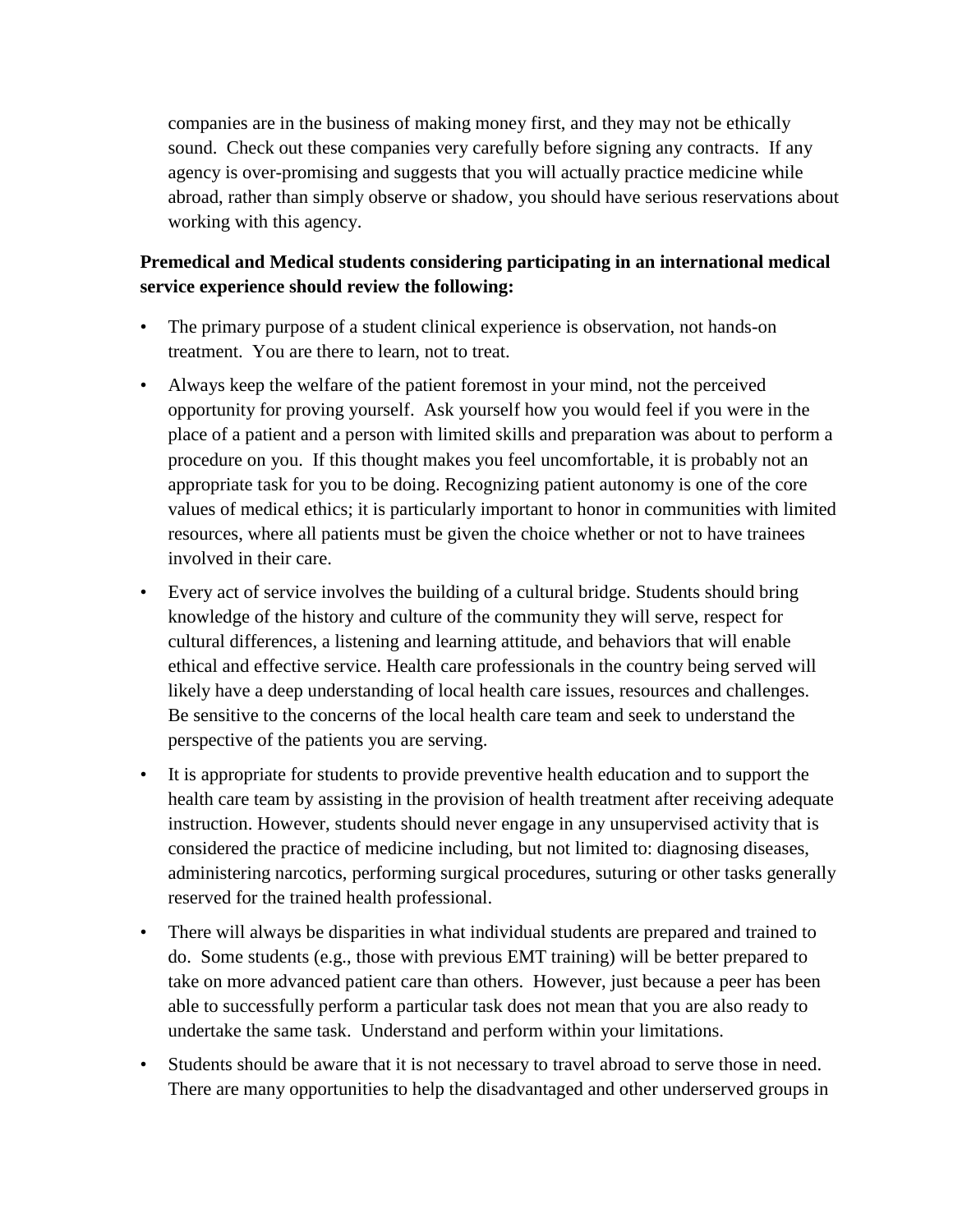companies are in the business of making money first, and they may not be ethically sound. Check out these companies very carefully before signing any contracts. If any agency is over-promising and suggests that you will actually practice medicine while abroad, rather than simply observe or shadow, you should have serious reservations about working with this agency.

## **Premedical and Medical students considering participating in an international medical service experience should review the following:**

- The primary purpose of a student clinical experience is observation, not hands-on treatment. You are there to learn, not to treat.
- Always keep the welfare of the patient foremost in your mind, not the perceived opportunity for proving yourself. Ask yourself how you would feel if you were in the place of a patient and a person with limited skills and preparation was about to perform a procedure on you. If this thought makes you feel uncomfortable, it is probably not an appropriate task for you to be doing. Recognizing patient autonomy is one of the core values of medical ethics; it is particularly important to honor in communities with limited resources, where all patients must be given the choice whether or not to have trainees involved in their care.
- Every act of service involves the building of a cultural bridge. Students should bring knowledge of the history and culture of the community they will serve, respect for cultural differences, a listening and learning attitude, and behaviors that will enable ethical and effective service. Health care professionals in the country being served will likely have a deep understanding of local health care issues, resources and challenges. Be sensitive to the concerns of the local health care team and seek to understand the perspective of the patients you are serving.
- It is appropriate for students to provide preventive health education and to support the health care team by assisting in the provision of health treatment after receiving adequate instruction. However, students should never engage in any unsupervised activity that is considered the practice of medicine including, but not limited to: diagnosing diseases, administering narcotics, performing surgical procedures, suturing or other tasks generally reserved for the trained health professional.
- There will always be disparities in what individual students are prepared and trained to do. Some students (e.g., those with previous EMT training) will be better prepared to take on more advanced patient care than others. However, just because a peer has been able to successfully perform a particular task does not mean that you are also ready to undertake the same task. Understand and perform within your limitations.
- Students should be aware that it is not necessary to travel abroad to serve those in need. There are many opportunities to help the disadvantaged and other underserved groups in